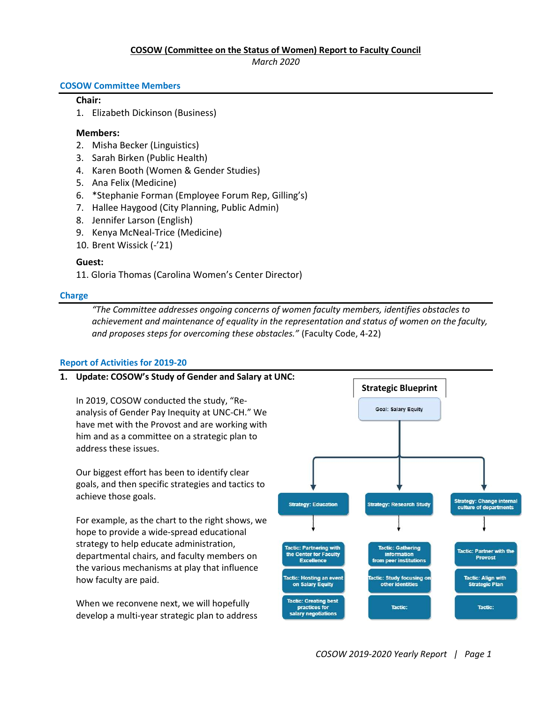## COSOW (Committee on the Status of Women) Report to Faculty Council

March 2020

#### COSOW Committee Members

## Chair:

1. Elizabeth Dickinson (Business)

### Members:

- 2. Misha Becker (Linguistics)
- 3. Sarah Birken (Public Health)
- 4. Karen Booth (Women & Gender Studies)
- 5. Ana Felix (Medicine)
- 6. \*Stephanie Forman (Employee Forum Rep, Gilling's)
- 7. Hallee Haygood (City Planning, Public Admin)
- 8. Jennifer Larson (English)
- 9. Kenya McNeal-Trice (Medicine)
- 10. Brent Wissick (-'21)

## Guest:

11. Gloria Thomas (Carolina Women's Center Director)

#### Charge

"The Committee addresses ongoing concerns of women faculty members, identifies obstacles to achievement and maintenance of equality in the representation and status of women on the faculty, and proposes steps for overcoming these obstacles." (Faculty Code, 4-22)

## Report of Activities for 2019-20

## 1. Update: COSOW's Study of Gender and Salary at UNC:

In 2019, COSOW conducted the study, "Reanalysis of Gender Pay Inequity at UNC-CH." We have met with the Provost and are working with him and as a committee on a strategic plan to address these issues.

Our biggest effort has been to identify clear goals, and then specific strategies and tactics to achieve those goals.

For example, as the chart to the right shows, we hope to provide a wide-spread educational strategy to help educate administration, departmental chairs, and faculty members on the various mechanisms at play that influence how faculty are paid.

When we reconvene next, we will hopefully develop a multi-year strategic plan to address

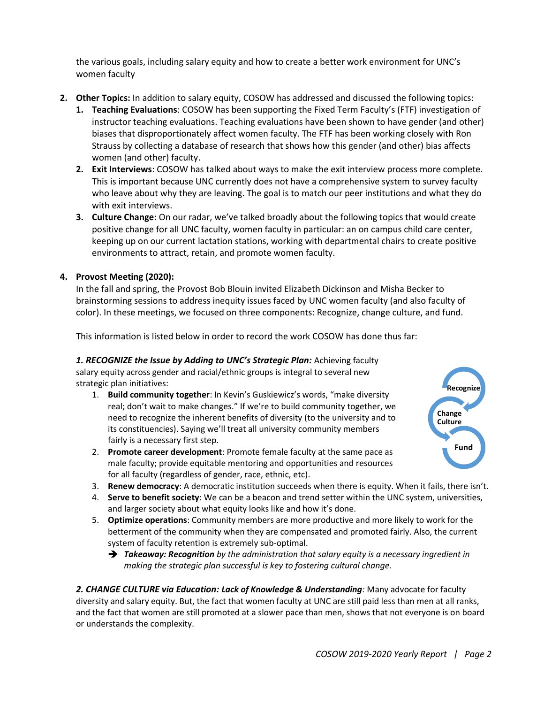the various goals, including salary equity and how to create a better work environment for UNC's women faculty

- 2. Other Topics: In addition to salary equity, COSOW has addressed and discussed the following topics:
	- 1. Teaching Evaluations: COSOW has been supporting the Fixed Term Faculty's (FTF) investigation of instructor teaching evaluations. Teaching evaluations have been shown to have gender (and other) biases that disproportionately affect women faculty. The FTF has been working closely with Ron Strauss by collecting a database of research that shows how this gender (and other) bias affects women (and other) faculty.
	- 2. Exit Interviews: COSOW has talked about ways to make the exit interview process more complete. This is important because UNC currently does not have a comprehensive system to survey faculty who leave about why they are leaving. The goal is to match our peer institutions and what they do with exit interviews.
	- 3. Culture Change: On our radar, we've talked broadly about the following topics that would create positive change for all UNC faculty, women faculty in particular: an on campus child care center, keeping up on our current lactation stations, working with departmental chairs to create positive environments to attract, retain, and promote women faculty.

# 4. Provost Meeting (2020):

In the fall and spring, the Provost Bob Blouin invited Elizabeth Dickinson and Misha Becker to brainstorming sessions to address inequity issues faced by UNC women faculty (and also faculty of color). In these meetings, we focused on three components: Recognize, change culture, and fund.

This information is listed below in order to record the work COSOW has done thus far:

1. RECOGNIZE the Issue by Adding to UNC's Strategic Plan: Achieving faculty salary equity across gender and racial/ethnic groups is integral to several new strategic plan initiatives:

- 1. Build community together: In Kevin's Guskiewicz's words, "make diversity real; don't wait to make changes." If we're to build community together, we need to recognize the inherent benefits of diversity (to the university and to its constituencies). Saying we'll treat all university community members fairly is a necessary first step.
- 2. Promote career development: Promote female faculty at the same pace as male faculty; provide equitable mentoring and opportunities and resources for all faculty (regardless of gender, race, ethnic, etc).



- 3. Renew democracy: A democratic institution succeeds when there is equity. When it fails, there isn't.
- 4. Serve to benefit society: We can be a beacon and trend setter within the UNC system, universities, and larger society about what equity looks like and how it's done.
- 5. Optimize operations: Community members are more productive and more likely to work for the betterment of the community when they are compensated and promoted fairly. Also, the current system of faculty retention is extremely sub-optimal.
	- **Takeaway: Recognition** by the administration that salary equity is a necessary ingredient in making the strategic plan successful is key to fostering cultural change.

2. CHANGE CULTURE via Education: Lack of Knowledge & Understanding: Many advocate for faculty diversity and salary equity. But, the fact that women faculty at UNC are still paid less than men at all ranks, and the fact that women are still promoted at a slower pace than men, shows that not everyone is on board or understands the complexity.